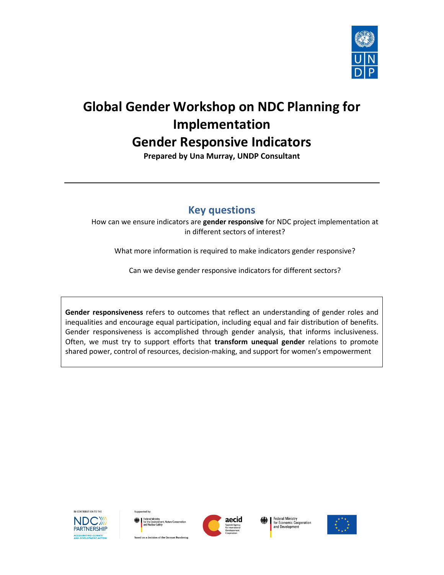

# **Global Gender Workshop on NDC Planning for Implementation Gender Responsive Indicators**

**Prepared by Una Murray, UNDP Consultant**

## **Key questions**

How can we ensure indicators are **gender responsive** for NDC project implementation at in different sectors of interest?

What more information is required to make indicators gender responsive?

Can we devise gender responsive indicators for different sectors?

**Gender responsiveness** refers to outcomes that reflect an understanding of gender roles and inequalities and encourage equal participation, including equal and fair distribution of benefits. Gender responsiveness is accomplished through gender analysis, that informs inclusiveness. Often, we must try to support efforts that **transform unequal gender** relations to promote shared power, control of resources, decision-making, and support for women's empowerment



ted by

based on a decision of the German Bundestag



Federal Ministry **Federal Willistry**<br>for Economic Cooperation<br>and Development

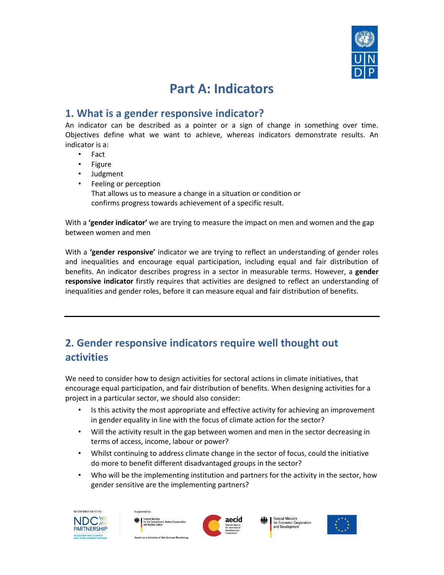

# **Part A: Indicators**

## **1. What is a gender responsive indicator?**

An indicator can be described as a pointer or a sign of change in something over time. Objectives define what we want to achieve, whereas indicators demonstrate results. An indicator is a:

- Fact
- Figure
- Judgment
- Feeling or perception That allows us to measure a change in a situation or condition or confirms progress towards achievement of a specific result.

With a **'gender indicator'** we are trying to measure the impact on men and women and the gap between women and men

With a **'gender responsive'** indicator we are trying to reflect an understanding of gender roles and inequalities and encourage equal participation, including equal and fair distribution of benefits. An indicator describes progress in a sector in measurable terms. However, a **gender responsive indicator** firstly requires that activities are designed to reflect an understanding of inequalities and gender roles, before it can measure equal and fair distribution of benefits.

# **2. Gender responsive indicators require well thought out activities**

We need to consider how to design activities for sectoral actions in climate initiatives, that encourage equal participation, and fair distribution of benefits. When designing activities for a project in a particular sector, we should also consider:

- Is this activity the most appropriate and effective activity for achieving an improvement in gender equality in line with the focus of climate action for the sector?
- Will the activity result in the gap between women and men in the sector decreasing in terms of access, income, labour or power?
- Whilst continuing to address climate change in the sector of focus, could the initiative do more to benefit different disadvantaged groups in the sector?
- Who will be the implementing institution and partners for the activity in the sector, how gender sensitive are the implementing partners?







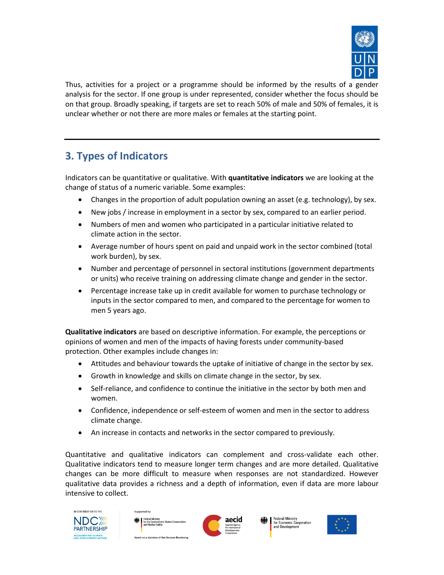

Thus, activities for a project or a programme should be informed by the results of a gender analysis for the sector. If one group is under represented, consider whether the focus should be on that group. Broadly speaking, if targets are set to reach 50% of male and 50% of females, it is unclear whether or not there are more males or females at the starting point.

# **3. Types of Indicators**

Indicators can be quantitative or qualitative. With **quantitative indicators** we are looking at the change of status of a numeric variable. Some examples:

- Changes in the proportion of adult population owning an asset (e.g. technology), by sex.
- New jobs / increase in employment in a sector by sex, compared to an earlier period.
- Numbers of men and women who participated in a particular initiative related to climate action in the sector.
- Average number of hours spent on paid and unpaid work in the sector combined (total work burden), by sex.
- Number and percentage of personnel in sectoral institutions (government departments or units) who receive training on addressing climate change and gender in the sector.
- Percentage increase take up in credit available for women to purchase technology or inputs in the sector compared to men, and compared to the percentage for women to men 5 years ago.

**Qualitative indicators** are based on descriptive information. For example, the perceptions or opinions of women and men of the impacts of having forests under community-based protection. Other examples include changes in:

- Attitudes and behaviour towards the uptake of initiative of change in the sector by sex.
- Growth in knowledge and skills on climate change in the sector, by sex.
- Self-reliance, and confidence to continue the initiative in the sector by both men and women.
- Confidence, independence or self-esteem of women and men in the sector to address climate change.
- An increase in contacts and networks in the sector compared to previously.

Quantitative and qualitative indicators can complement and cross-validate each other. Qualitative indicators tend to measure longer term changes and are more detailed. Qualitative changes can be more difficult to measure when responses are not standardized. However qualitative data provides a richness and a depth of information, even if data are more labour intensive to collect.





Sunnorted by



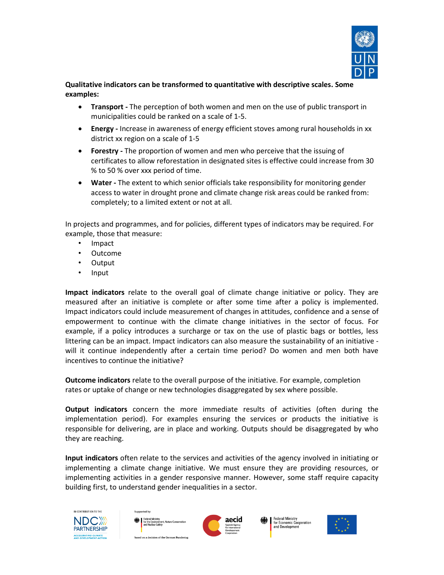

#### **Qualitative indicators can be transformed to quantitative with descriptive scales. Some examples:**

- **Transport -** The perception of both women and men on the use of public transport in municipalities could be ranked on a scale of 1-5.
- **Energy -** Increase in awareness of energy efficient stoves among rural households in xx district xx region on a scale of 1-5
- **Forestry -** The proportion of women and men who perceive that the issuing of certificates to allow reforestation in designated sites is effective could increase from 30 % to 50 % over xxx period of time.
- **Water -** The extent to which senior officials take responsibility for monitoring gender access to water in drought prone and climate change risk areas could be ranked from: completely; to a limited extent or not at all.

In projects and programmes, and for policies, different types of indicators may be required. For example, those that measure:

- Impact
- Outcome
- Output
- Input

**Impact indicators** relate to the overall goal of climate change initiative or policy. They are measured after an initiative is complete or after some time after a policy is implemented. Impact indicators could include measurement of changes in attitudes, confidence and a sense of empowerment to continue with the climate change initiatives in the sector of focus. For example, if a policy introduces a surcharge or tax on the use of plastic bags or bottles, less littering can be an impact. Impact indicators can also measure the sustainability of an initiative will it continue independently after a certain time period? Do women and men both have incentives to continue the initiative?

**Outcome indicators** relate to the overall purpose of the initiative. For example, completion rates or uptake of change or new technologies disaggregated by sex where possible.

**Output indicators** concern the more immediate results of activities (often during the implementation period). For examples ensuring the services or products the initiative is responsible for delivering, are in place and working. Outputs should be disaggregated by who they are reaching.

**Input indicators** often relate to the services and activities of the agency involved in initiating or implementing a climate change initiative. We must ensure they are providing resources, or implementing activities in a gender responsive manner. However, some staff require capacity building first, to understand gender inequalities in a sector.







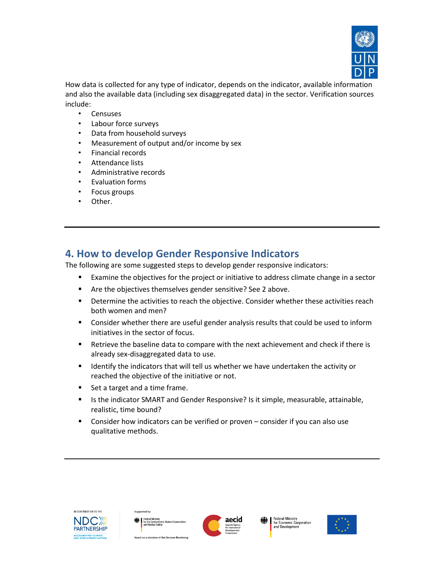

How data is collected for any type of indicator, depends on the indicator, available information and also the available data (including sex disaggregated data) in the sector. Verification sources include:

- Censuses
- Labour force surveys
- Data from household surveys
- Measurement of output and/or income by sex
- Financial records
- Attendance lists
- Administrative records
- Evaluation forms
- Focus groups
- Other.

### **4. How to develop Gender Responsive Indicators**

The following are some suggested steps to develop gender responsive indicators:

- Examine the objectives for the project or initiative to address climate change in a sector
- Are the objectives themselves gender sensitive? See 2 above.
- **■** Determine the activities to reach the objective. Consider whether these activities reach both women and men?
- Consider whether there are useful gender analysis results that could be used to inform initiatives in the sector of focus.
- Retrieve the baseline data to compare with the next achievement and check if there is already sex-disaggregated data to use.
- Identify the indicators that will tell us whether we have undertaken the activity or reached the objective of the initiative or not.
- Set a target and a time frame.
- Is the indicator SMART and Gender Responsive? Is it simple, measurable, attainable, realistic, time bound?
- Consider how indicators can be verified or proven consider if you can also use qualitative methods.







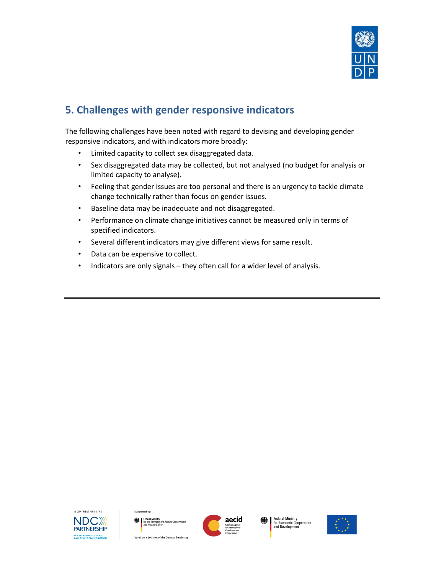

# **5. Challenges with gender responsive indicators**

The following challenges have been noted with regard to devising and developing gender responsive indicators, and with indicators more broadly:

- Limited capacity to collect sex disaggregated data.
- Sex disaggregated data may be collected, but not analysed (no budget for analysis or limited capacity to analyse).
- Feeling that gender issues are too personal and there is an urgency to tackle climate change technically rather than focus on gender issues.
- Baseline data may be inadequate and not disaggregated.
- Performance on climate change initiatives cannot be measured only in terms of specified indicators.
- Several different indicators may give different views for same result.
- Data can be expensive to collect.
- Indicators are only signals they often call for a wider level of analysis.



ted by based on a decision of the German Bundestas



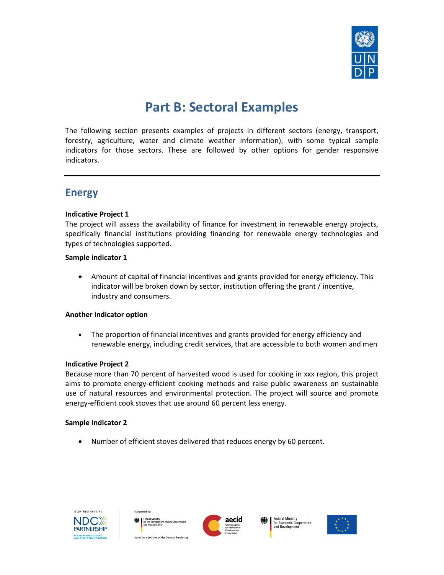

# **Part B: Sectoral Examples**

The following section presents examples of projects in different sectors (energy, transport, forestry, agriculture, water and climate weather information), with some typical sample indicators for those sectors. These are followed by other options for gender responsive indicators.

### **Energy**

#### **Indicative Project 1**

The project will assess the availability of finance for investment in renewable energy projects, specifically financial institutions providing financing for renewable energy technologies and types of technologies supported.

#### **Sample indicator 1**

• Amount of capital of financial incentives and grants provided for energy efficiency. This indicator will be broken down by sector, institution offering the grant / incentive, industry and consumers.

#### **Another indicator option**

• The proportion of financial incentives and grants provided for energy efficiency and renewable energy, including credit services, that are accessible to both women and men

#### **Indicative Project 2**

Because more than 70 percent of harvested wood is used for cooking in xxx region, this project aims to promote energy-efficient cooking methods and raise public awareness on sustainable use of natural resources and environmental protection. The project will source and promote energy-efficient cook stoves that use around 60 percent less energy.

#### **Sample indicator 2**

• Number of efficient stoves delivered that reduces energy by 60 percent.









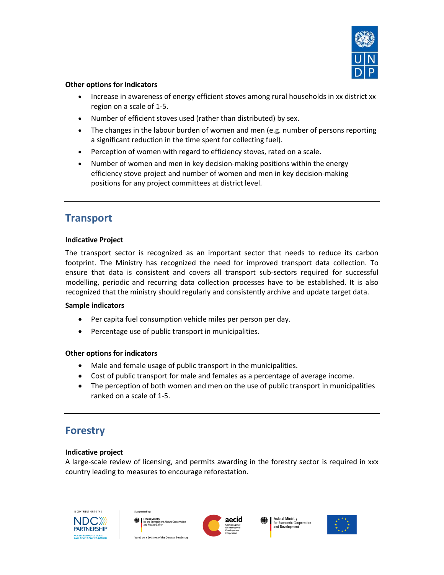

#### **Other options for indicators**

- Increase in awareness of energy efficient stoves among rural households in xx district xx region on a scale of 1-5.
- Number of efficient stoves used (rather than distributed) by sex.
- The changes in the labour burden of women and men (e.g. number of persons reporting a significant reduction in the time spent for collecting fuel).
- Perception of women with regard to efficiency stoves, rated on a scale.
- Number of women and men in key decision-making positions within the energy efficiency stove project and number of women and men in key decision-making positions for any project committees at district level.

### **Transport**

#### **Indicative Project**

The transport sector is recognized as an important sector that needs to reduce its carbon footprint. The Ministry has recognized the need for improved transport data collection. To ensure that data is consistent and covers all transport sub-sectors required for successful modelling, periodic and recurring data collection processes have to be established. It is also recognized that the ministry should regularly and consistently archive and update target data.

#### **Sample indicators**

- Per capita fuel consumption vehicle miles per person per day.
- Percentage use of public transport in municipalities.

#### **Other options for indicators**

- Male and female usage of public transport in the municipalities.
- Cost of public transport for male and females as a percentage of average income.
- The perception of both women and men on the use of public transport in municipalities ranked on a scale of 1-5.

### **Forestry**

#### **Indicative project**

A large-scale review of licensing, and permits awarding in the forestry sector is required in xxx country leading to measures to encourage reforestation.





ted by



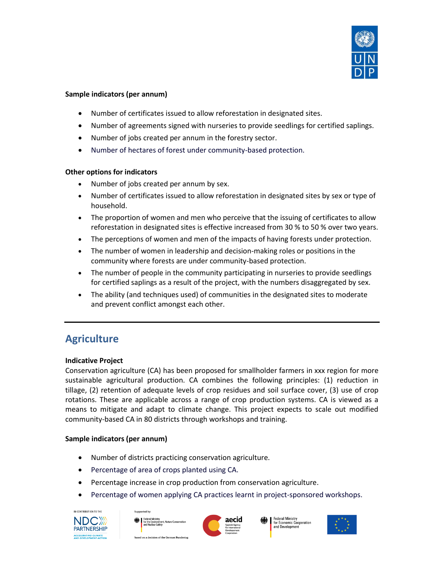

#### **Sample indicators (per annum)**

- Number of certificates issued to allow reforestation in designated sites.
- Number of agreements signed with nurseries to provide seedlings for certified saplings.
- Number of jobs created per annum in the forestry sector.
- Number of hectares of forest under community-based protection.

#### **Other options for indicators**

- Number of jobs created per annum by sex.
- Number of certificates issued to allow reforestation in designated sites by sex or type of household.
- The proportion of women and men who perceive that the issuing of certificates to allow reforestation in designated sites is effective increased from 30 % to 50 % over two years.
- The perceptions of women and men of the impacts of having forests under protection.
- The number of women in leadership and decision-making roles or positions in the community where forests are under community-based protection.
- The number of people in the community participating in nurseries to provide seedlings for certified saplings as a result of the project, with the numbers disaggregated by sex.
- The ability (and techniques used) of communities in the designated sites to moderate and prevent conflict amongst each other.

# **Agriculture**

#### **Indicative Project**

Conservation agriculture (CA) has been proposed for smallholder farmers in xxx region for more sustainable agricultural production. CA combines the following principles: (1) reduction in tillage, (2) retention of adequate levels of crop residues and soil surface cover, (3) use of crop rotations. These are applicable across a range of crop production systems. CA is viewed as a means to mitigate and adapt to climate change. This project expects to scale out modified community-based CA in 80 districts through workshops and training.

#### **Sample indicators (per annum)**

- Number of districts practicing conservation agriculture.
- Percentage of area of crops planted using CA.
- Percentage increase in crop production from conservation agriculture.
- Percentage of women applying CA practices learnt in project-sponsored workshops.



based on a decision of the German Bundestas



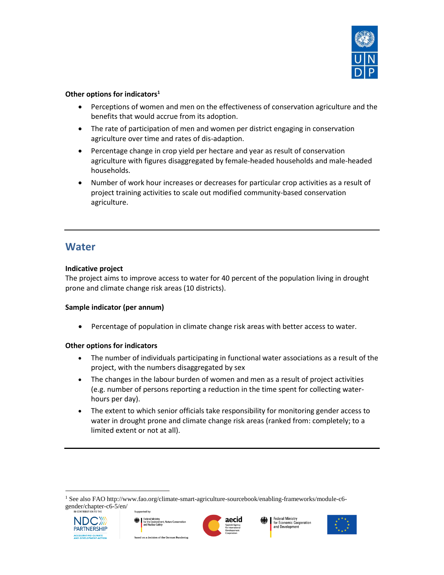

#### **Other options for indicators<sup>1</sup>**

- Perceptions of women and men on the effectiveness of conservation agriculture and the benefits that would accrue from its adoption.
- The rate of participation of men and women per district engaging in conservation agriculture over time and rates of dis-adaption.
- Percentage change in crop yield per hectare and year as result of conservation agriculture with figures disaggregated by female-headed households and male-headed households.
- Number of work hour increases or decreases for particular crop activities as a result of project training activities to scale out modified community-based conservation agriculture.

### **Water**

#### **Indicative project**

The project aims to improve access to water for 40 percent of the population living in drought prone and climate change risk areas (10 districts).

#### **Sample indicator (per annum)**

• Percentage of population in climate change risk areas with better access to water.

#### **Other options for indicators**

- The number of individuals participating in functional water associations as a result of the project, with the numbers disaggregated by sex
- The changes in the labour burden of women and men as a result of project activities (e.g. number of persons reporting a reduction in the time spent for collecting waterhours per day).
- The extent to which senior officials take responsibility for monitoring gender access to water in drought prone and climate change risk areas (ranked from: completely; to a limited extent or not at all).

<sup>1</sup> See also FAO http://www.fao.org/climate-smart-agriculture-sourcebook/enabling-frameworks/module-c6 gender/chapter-c6-5/en/



 $\overline{a}$ 



based on a decision of the German Bundesta